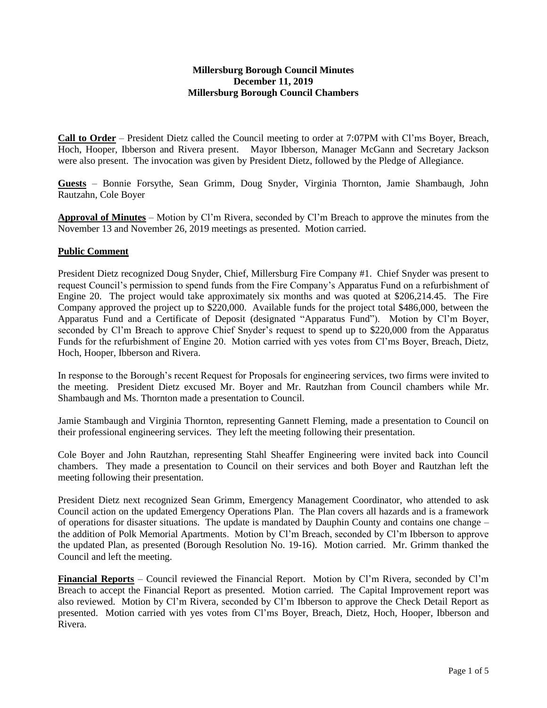#### **Millersburg Borough Council Minutes December 11, 2019 Millersburg Borough Council Chambers**

**Call to Order** – President Dietz called the Council meeting to order at 7:07PM with Cl'ms Boyer, Breach, Hoch, Hooper, Ibberson and Rivera present. Mayor Ibberson, Manager McGann and Secretary Jackson were also present. The invocation was given by President Dietz, followed by the Pledge of Allegiance.

**Guests** – Bonnie Forsythe, Sean Grimm, Doug Snyder, Virginia Thornton, Jamie Shambaugh, John Rautzahn, Cole Boyer

**Approval of Minutes** – Motion by Cl'm Rivera, seconded by Cl'm Breach to approve the minutes from the November 13 and November 26, 2019 meetings as presented. Motion carried.

## **Public Comment**

President Dietz recognized Doug Snyder, Chief, Millersburg Fire Company #1. Chief Snyder was present to request Council's permission to spend funds from the Fire Company's Apparatus Fund on a refurbishment of Engine 20. The project would take approximately six months and was quoted at \$206,214.45. The Fire Company approved the project up to \$220,000. Available funds for the project total \$486,000, between the Apparatus Fund and a Certificate of Deposit (designated "Apparatus Fund"). Motion by Cl'm Boyer, seconded by Cl'm Breach to approve Chief Snyder's request to spend up to \$220,000 from the Apparatus Funds for the refurbishment of Engine 20. Motion carried with yes votes from Cl'ms Boyer, Breach, Dietz, Hoch, Hooper, Ibberson and Rivera.

In response to the Borough's recent Request for Proposals for engineering services, two firms were invited to the meeting. President Dietz excused Mr. Boyer and Mr. Rautzhan from Council chambers while Mr. Shambaugh and Ms. Thornton made a presentation to Council.

Jamie Stambaugh and Virginia Thornton, representing Gannett Fleming, made a presentation to Council on their professional engineering services. They left the meeting following their presentation.

Cole Boyer and John Rautzhan, representing Stahl Sheaffer Engineering were invited back into Council chambers. They made a presentation to Council on their services and both Boyer and Rautzhan left the meeting following their presentation.

President Dietz next recognized Sean Grimm, Emergency Management Coordinator, who attended to ask Council action on the updated Emergency Operations Plan. The Plan covers all hazards and is a framework of operations for disaster situations. The update is mandated by Dauphin County and contains one change – the addition of Polk Memorial Apartments. Motion by Cl'm Breach, seconded by Cl'm Ibberson to approve the updated Plan, as presented (Borough Resolution No. 19-16). Motion carried. Mr. Grimm thanked the Council and left the meeting.

**Financial Reports** – Council reviewed the Financial Report. Motion by Cl'm Rivera, seconded by Cl'm Breach to accept the Financial Report as presented. Motion carried. The Capital Improvement report was also reviewed. Motion by Cl'm Rivera, seconded by Cl'm Ibberson to approve the Check Detail Report as presented. Motion carried with yes votes from Cl'ms Boyer, Breach, Dietz, Hoch, Hooper, Ibberson and Rivera.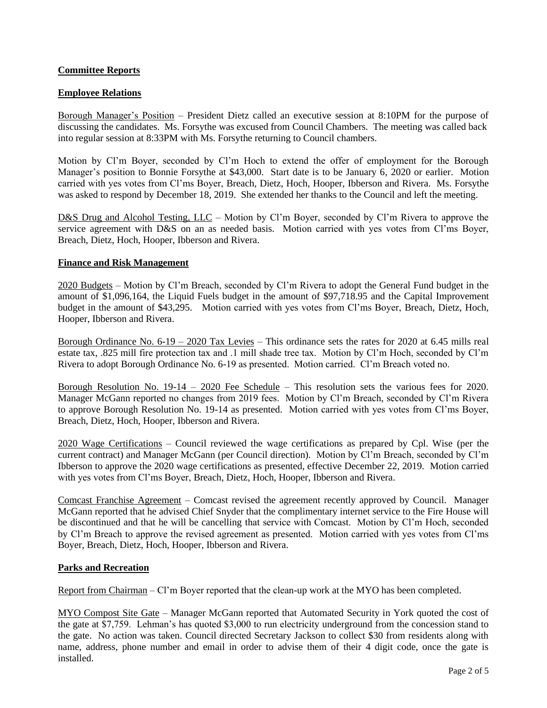# **Committee Reports**

## **Employee Relations**

Borough Manager's Position – President Dietz called an executive session at 8:10PM for the purpose of discussing the candidates. Ms. Forsythe was excused from Council Chambers. The meeting was called back into regular session at 8:33PM with Ms. Forsythe returning to Council chambers.

Motion by Cl'm Boyer, seconded by Cl'm Hoch to extend the offer of employment for the Borough Manager's position to Bonnie Forsythe at \$43,000. Start date is to be January 6, 2020 or earlier. Motion carried with yes votes from Cl'ms Boyer, Breach, Dietz, Hoch, Hooper, Ibberson and Rivera. Ms. Forsythe was asked to respond by December 18, 2019. She extended her thanks to the Council and left the meeting.

D&S Drug and Alcohol Testing, LLC – Motion by Cl'm Boyer, seconded by Cl'm Rivera to approve the service agreement with D&S on an as needed basis. Motion carried with yes votes from Cl'ms Boyer, Breach, Dietz, Hoch, Hooper, Ibberson and Rivera.

## **Finance and Risk Management**

2020 Budgets – Motion by Cl'm Breach, seconded by Cl'm Rivera to adopt the General Fund budget in the amount of \$1,096,164, the Liquid Fuels budget in the amount of \$97,718.95 and the Capital Improvement budget in the amount of \$43,295. Motion carried with yes votes from Cl'ms Boyer, Breach, Dietz, Hoch, Hooper, Ibberson and Rivera.

Borough Ordinance No.  $6-19 - 2020$  Tax Levies – This ordinance sets the rates for 2020 at 6.45 mills real estate tax, .825 mill fire protection tax and .1 mill shade tree tax. Motion by Cl'm Hoch, seconded by Cl'm Rivera to adopt Borough Ordinance No. 6-19 as presented. Motion carried. Cl'm Breach voted no.

Borough Resolution No.  $19-14 - 2020$  Fee Schedule – This resolution sets the various fees for 2020. Manager McGann reported no changes from 2019 fees. Motion by Cl'm Breach, seconded by Cl'm Rivera to approve Borough Resolution No. 19-14 as presented. Motion carried with yes votes from Cl'ms Boyer, Breach, Dietz, Hoch, Hooper, Ibberson and Rivera.

2020 Wage Certifications – Council reviewed the wage certifications as prepared by Cpl. Wise (per the current contract) and Manager McGann (per Council direction). Motion by Cl'm Breach, seconded by Cl'm Ibberson to approve the 2020 wage certifications as presented, effective December 22, 2019. Motion carried with yes votes from Cl'ms Boyer, Breach, Dietz, Hoch, Hooper, Ibberson and Rivera.

Comcast Franchise Agreement – Comcast revised the agreement recently approved by Council. Manager McGann reported that he advised Chief Snyder that the complimentary internet service to the Fire House will be discontinued and that he will be cancelling that service with Comcast. Motion by Cl'm Hoch, seconded by Cl'm Breach to approve the revised agreement as presented. Motion carried with yes votes from Cl'ms Boyer, Breach, Dietz, Hoch, Hooper, Ibberson and Rivera.

## **Parks and Recreation**

Report from Chairman – Cl'm Boyer reported that the clean-up work at the MYO has been completed.

MYO Compost Site Gate – Manager McGann reported that Automated Security in York quoted the cost of the gate at \$7,759. Lehman's has quoted \$3,000 to run electricity underground from the concession stand to the gate. No action was taken. Council directed Secretary Jackson to collect \$30 from residents along with name, address, phone number and email in order to advise them of their 4 digit code, once the gate is installed.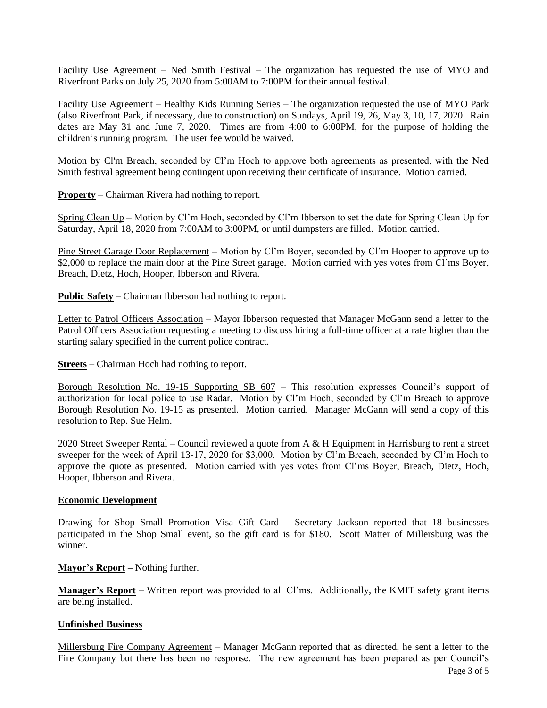Facility Use Agreement – Ned Smith Festival – The organization has requested the use of MYO and Riverfront Parks on July 25, 2020 from 5:00AM to 7:00PM for their annual festival.

Facility Use Agreement – Healthy Kids Running Series – The organization requested the use of MYO Park (also Riverfront Park, if necessary, due to construction) on Sundays, April 19, 26, May 3, 10, 17, 2020. Rain dates are May 31 and June 7, 2020. Times are from 4:00 to 6:00PM, for the purpose of holding the children's running program. The user fee would be waived.

Motion by Cl'm Breach, seconded by Cl'm Hoch to approve both agreements as presented, with the Ned Smith festival agreement being contingent upon receiving their certificate of insurance. Motion carried.

**Property** – Chairman Rivera had nothing to report.

Spring Clean Up – Motion by Cl'm Hoch, seconded by Cl'm Ibberson to set the date for Spring Clean Up for Saturday, April 18, 2020 from 7:00AM to 3:00PM, or until dumpsters are filled. Motion carried.

Pine Street Garage Door Replacement – Motion by Cl'm Boyer, seconded by Cl'm Hooper to approve up to \$2,000 to replace the main door at the Pine Street garage. Motion carried with yes votes from Cl'ms Boyer, Breach, Dietz, Hoch, Hooper, Ibberson and Rivera.

**Public Safety –** Chairman Ibberson had nothing to report.

Letter to Patrol Officers Association – Mayor Ibberson requested that Manager McGann send a letter to the Patrol Officers Association requesting a meeting to discuss hiring a full-time officer at a rate higher than the starting salary specified in the current police contract.

**Streets** – Chairman Hoch had nothing to report.

Borough Resolution No. 19-15 Supporting SB 607 - This resolution expresses Council's support of authorization for local police to use Radar. Motion by Cl'm Hoch, seconded by Cl'm Breach to approve Borough Resolution No. 19-15 as presented. Motion carried. Manager McGann will send a copy of this resolution to Rep. Sue Helm.

2020 Street Sweeper Rental – Council reviewed a quote from A  $\&$  H Equipment in Harrisburg to rent a street sweeper for the week of April 13-17, 2020 for \$3,000. Motion by Cl'm Breach, seconded by Cl'm Hoch to approve the quote as presented. Motion carried with yes votes from Cl'ms Boyer, Breach, Dietz, Hoch, Hooper, Ibberson and Rivera.

#### **Economic Development**

Drawing for Shop Small Promotion Visa Gift Card – Secretary Jackson reported that 18 businesses participated in the Shop Small event, so the gift card is for \$180. Scott Matter of Millersburg was the winner.

**Mayor's Report –** Nothing further.

**Manager's Report –** Written report was provided to all Cl'ms. Additionally, the KMIT safety grant items are being installed.

## **Unfinished Business**

Millersburg Fire Company Agreement – Manager McGann reported that as directed, he sent a letter to the Fire Company but there has been no response. The new agreement has been prepared as per Council's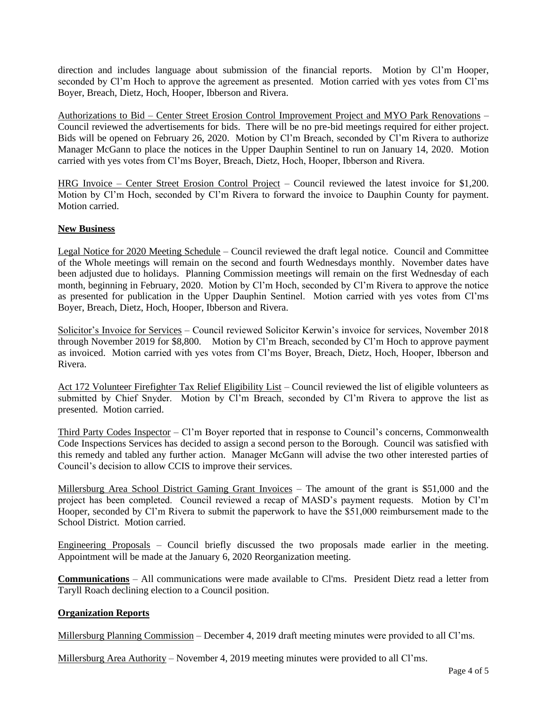direction and includes language about submission of the financial reports. Motion by Cl'm Hooper, seconded by Cl'm Hoch to approve the agreement as presented. Motion carried with yes votes from Cl'ms Boyer, Breach, Dietz, Hoch, Hooper, Ibberson and Rivera.

Authorizations to Bid – Center Street Erosion Control Improvement Project and MYO Park Renovations – Council reviewed the advertisements for bids. There will be no pre-bid meetings required for either project. Bids will be opened on February 26, 2020. Motion by Cl'm Breach, seconded by Cl'm Rivera to authorize Manager McGann to place the notices in the Upper Dauphin Sentinel to run on January 14, 2020. Motion carried with yes votes from Cl'ms Boyer, Breach, Dietz, Hoch, Hooper, Ibberson and Rivera.

HRG Invoice – Center Street Erosion Control Project – Council reviewed the latest invoice for \$1,200. Motion by Cl'm Hoch, seconded by Cl'm Rivera to forward the invoice to Dauphin County for payment. Motion carried.

# **New Business**

Legal Notice for 2020 Meeting Schedule – Council reviewed the draft legal notice. Council and Committee of the Whole meetings will remain on the second and fourth Wednesdays monthly. November dates have been adjusted due to holidays. Planning Commission meetings will remain on the first Wednesday of each month, beginning in February, 2020. Motion by Cl'm Hoch, seconded by Cl'm Rivera to approve the notice as presented for publication in the Upper Dauphin Sentinel. Motion carried with yes votes from Cl'ms Boyer, Breach, Dietz, Hoch, Hooper, Ibberson and Rivera.

Solicitor's Invoice for Services – Council reviewed Solicitor Kerwin's invoice for services, November 2018 through November 2019 for \$8,800. Motion by Cl'm Breach, seconded by Cl'm Hoch to approve payment as invoiced. Motion carried with yes votes from Cl'ms Boyer, Breach, Dietz, Hoch, Hooper, Ibberson and Rivera.

Act 172 Volunteer Firefighter Tax Relief Eligibility List – Council reviewed the list of eligible volunteers as submitted by Chief Snyder. Motion by Cl'm Breach, seconded by Cl'm Rivera to approve the list as presented. Motion carried.

Third Party Codes Inspector – Cl'm Boyer reported that in response to Council's concerns, Commonwealth Code Inspections Services has decided to assign a second person to the Borough. Council was satisfied with this remedy and tabled any further action. Manager McGann will advise the two other interested parties of Council's decision to allow CCIS to improve their services.

Millersburg Area School District Gaming Grant Invoices – The amount of the grant is \$51,000 and the project has been completed. Council reviewed a recap of MASD's payment requests. Motion by Cl'm Hooper, seconded by Cl'm Rivera to submit the paperwork to have the \$51,000 reimbursement made to the School District. Motion carried.

Engineering Proposals – Council briefly discussed the two proposals made earlier in the meeting. Appointment will be made at the January 6, 2020 Reorganization meeting.

**Communications** – All communications were made available to Cl'ms. President Dietz read a letter from Taryll Roach declining election to a Council position.

## **Organization Reports**

Millersburg Planning Commission – December 4, 2019 draft meeting minutes were provided to all Cl'ms.

Millersburg Area Authority – November 4, 2019 meeting minutes were provided to all Cl'ms.